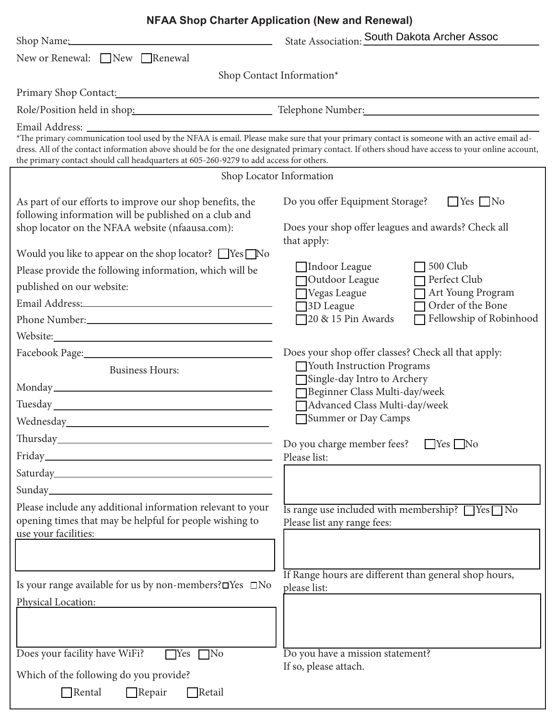|                                                                                                                                                                                                                                      | <b>NFAA Shop Charter Application (New and Renewal)</b>                                                                                                                                                                        |  |  |
|--------------------------------------------------------------------------------------------------------------------------------------------------------------------------------------------------------------------------------------|-------------------------------------------------------------------------------------------------------------------------------------------------------------------------------------------------------------------------------|--|--|
| Shop Name: 2008                                                                                                                                                                                                                      | State Association: South Dakota Archer Assoc                                                                                                                                                                                  |  |  |
| New or Renewal: □New □Renewal                                                                                                                                                                                                        |                                                                                                                                                                                                                               |  |  |
|                                                                                                                                                                                                                                      | Shop Contact Information*                                                                                                                                                                                                     |  |  |
| Primary Shop Contact: Note that the state of the contract of the contract of the contract of the contract of the contract of the contract of the contract of the contract of the contract of the contract of the contract of t       |                                                                                                                                                                                                                               |  |  |
|                                                                                                                                                                                                                                      | Role/Position held in shop: Telephone Number: Telephone: Telephone: Telephone: Telephone: Telephone: Telephone: Telephone: Telephone: Telephone: Telephone: Telephone: Telephone: Telephone: Telephone: Telephone: Telephone: |  |  |
|                                                                                                                                                                                                                                      |                                                                                                                                                                                                                               |  |  |
| *The primary communication tool used by the NFAA is email. Please make sure that your primary contact is someone with an active email ad-<br>the primary contact should call headquarters at 605-260-9279 to add access for others.  | dress. All of the contact information above should be for the one designated primary contact. If others shoud have access to your online account,                                                                             |  |  |
|                                                                                                                                                                                                                                      | Shop Locator Information                                                                                                                                                                                                      |  |  |
| As part of our efforts to improve our shop benefits, the<br>following information will be published on a club and<br>shop locator on the NFAA website (nfaausa.com):                                                                 | Do you offer Equipment Storage?<br>$\Box$ Yes $\Box$ No<br>Does your shop offer leagues and awards? Check all<br>that apply:                                                                                                  |  |  |
| Would you like to appear on the shop locator? $\Box$ Yes $\Box$ No                                                                                                                                                                   |                                                                                                                                                                                                                               |  |  |
| Please provide the following information, which will be                                                                                                                                                                              | 500 Club<br>Indoor League<br>Perfect Club                                                                                                                                                                                     |  |  |
| published on our website:                                                                                                                                                                                                            | Outdoor League<br>Art Young Program<br>Vegas League                                                                                                                                                                           |  |  |
| Email Address: North and South Address: North Address: North Address: North Address: North Address: North Address: North Address: North Address: North Address: North Address: North Address: North Address: North Address: No       | Order of the Bone<br>3D League                                                                                                                                                                                                |  |  |
|                                                                                                                                                                                                                                      | Fellowship of Robinhood<br>$\Box$ 20 & 15 Pin Awards                                                                                                                                                                          |  |  |
| Website: New York: New York: New York: New York: New York: New York: New York: New York: New York: New York: New York: New York: New York: New York: New York: New York: New York: New York: New York: New York: New York: New       |                                                                                                                                                                                                                               |  |  |
|                                                                                                                                                                                                                                      | Does your shop offer classes? Check all that apply:                                                                                                                                                                           |  |  |
| <b>Business Hours:</b>                                                                                                                                                                                                               | Vouth Instruction Programs<br>Single-day Intro to Archery                                                                                                                                                                     |  |  |
|                                                                                                                                                                                                                                      | Beginner Class Multi-day/week                                                                                                                                                                                                 |  |  |
| Tuesday here are a series of the series of the series of the series of the series of the series of the series of the series of the series of the series of the series of the series of the series of the series of the series        | Advanced Class Multi-day/week                                                                                                                                                                                                 |  |  |
| Wednesday_                                                                                                                                                                                                                           | Summer or Day Camps                                                                                                                                                                                                           |  |  |
|                                                                                                                                                                                                                                      | Do you charge member fees?<br>$\Box$ Yes $\Box$ No                                                                                                                                                                            |  |  |
| Friday <b>Exercise Service Service Service Service Service Service Service Service Service Service Service Service Service Service Service Service Service Service Service Service Service Service Service Service Service Servi</b> | Please list:                                                                                                                                                                                                                  |  |  |
|                                                                                                                                                                                                                                      |                                                                                                                                                                                                                               |  |  |
| Sunday extends the contract of the contract of the contract of the contract of the contract of the contract of                                                                                                                       |                                                                                                                                                                                                                               |  |  |
| Please include any additional information relevant to your<br>opening times that may be helpful for people wishing to<br>use your facilities:                                                                                        | Is range use included with membership? TYes No<br>Please list any range fees:                                                                                                                                                 |  |  |
|                                                                                                                                                                                                                                      |                                                                                                                                                                                                                               |  |  |
| Is your range available for us by non-members? OYes □No                                                                                                                                                                              | If Range hours are different than general shop hours,<br>please list:                                                                                                                                                         |  |  |
| Physical Location:<br><u> 1980 - Jan Barbara Barbara, maso a</u>                                                                                                                                                                     |                                                                                                                                                                                                                               |  |  |
|                                                                                                                                                                                                                                      |                                                                                                                                                                                                                               |  |  |
| Does your facility have WiFi?<br>$\Box$ No<br>$\Box$ Yes                                                                                                                                                                             | Do you have a mission statement?                                                                                                                                                                                              |  |  |
| Which of the following do you provide?                                                                                                                                                                                               | If so, please attach.                                                                                                                                                                                                         |  |  |
| $\Box$ Retail<br>$\Box$ Rental<br>$\Box$ Repair                                                                                                                                                                                      |                                                                                                                                                                                                                               |  |  |